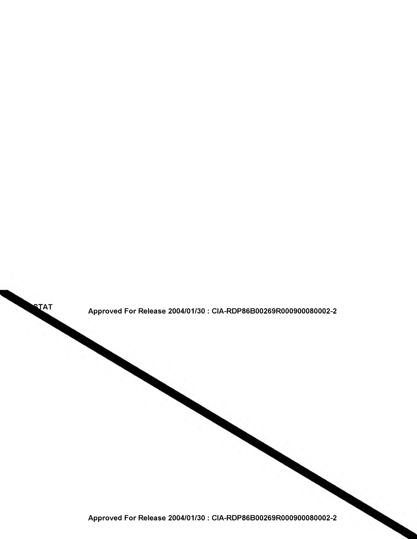

Approved For Release 2004/01/30 : CIA-RDP86B00269R000900080002-2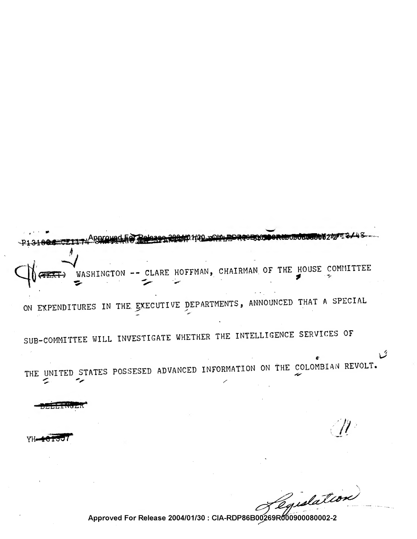- CLARE HOFFMAN, CHAIRMAN OF THE HOUSE COMMITTEE WASHING ON EXPENDITURES IN THE EXECUTIVE DEPARTMENTS, ANNOUNCED THAT A SPECIAL SUB-COMMITTEE WILL INVESTIGATE WHETHER THE INTELLIGENCE SERVICES OF THE UNITED STATES POSSESED ADVANCED INFORMATION ON THE COLOMBIAN REVOLT.

YH.

edation

タ

Approved For Release 2004/01/30 : CIA-RDP86B00269R000900080002-2